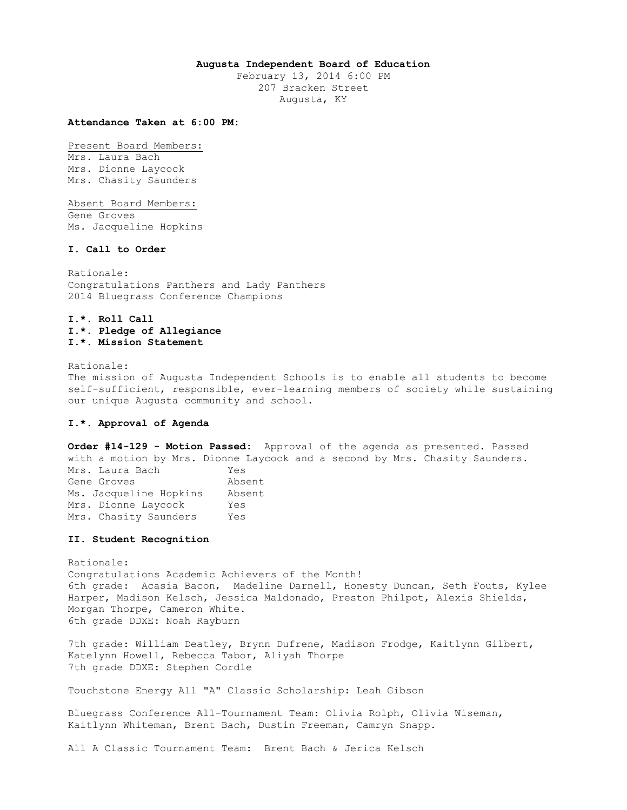#### **Augusta Independent Board of Education**

February 13, 2014 6:00 PM 207 Bracken Street Augusta, KY

## **Attendance Taken at 6:00 PM:**

Present Board Members:

Mrs. Laura Bach Mrs. Dionne Laycock Mrs. Chasity Saunders

Absent Board Members:

Gene Groves Ms. Jacqueline Hopkins

### **I. Call to Order**

Rationale: Congratulations Panthers and Lady Panthers 2014 Bluegrass Conference Champions

# **I.\*. Roll Call I.\*. Pledge of Allegiance I.\*. Mission Statement**

Rationale:

The mission of Augusta Independent Schools is to enable all students to become self-sufficient, responsible, ever-learning members of society while sustaining our unique Augusta community and school.

## **I.\*. Approval of Agenda**

**Order #14-129 - Motion Passed:** Approval of the agenda as presented. Passed with a motion by Mrs. Dionne Laycock and a second by Mrs. Chasity Saunders. Mrs. Laura Bach Yes Gene Groves Absent Ms. Jacqueline Hopkins Absent Mrs. Dionne Laycock Yes Mrs. Chasity Saunders Yes

## **II. Student Recognition**

Rationale: Congratulations Academic Achievers of the Month! 6th grade: Acasia Bacon, Madeline Darnell, Honesty Duncan, Seth Fouts, Kylee Harper, Madison Kelsch, Jessica Maldonado, Preston Philpot, Alexis Shields, Morgan Thorpe, Cameron White. 6th grade DDXE: Noah Rayburn

7th grade: William Deatley, Brynn Dufrene, Madison Frodge, Kaitlynn Gilbert, Katelynn Howell, Rebecca Tabor, Aliyah Thorpe 7th grade DDXE: Stephen Cordle

Touchstone Energy All "A" Classic Scholarship: Leah Gibson

Bluegrass Conference All-Tournament Team: Olivia Rolph, Olivia Wiseman, Kaitlynn Whiteman, Brent Bach, Dustin Freeman, Camryn Snapp.

All A Classic Tournament Team: Brent Bach & Jerica Kelsch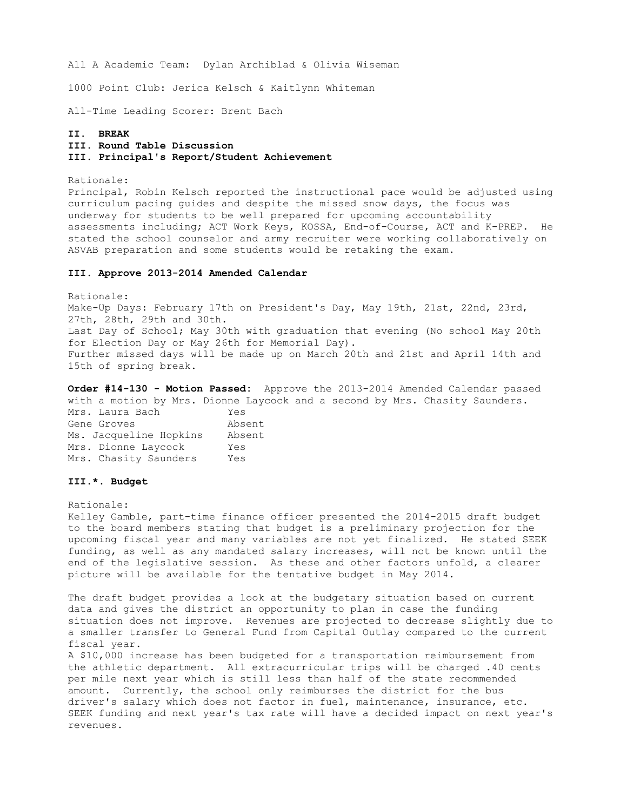All A Academic Team: Dylan Archiblad & Olivia Wiseman

1000 Point Club: Jerica Kelsch & Kaitlynn Whiteman

All-Time Leading Scorer: Brent Bach

## **II. BREAK**

# **III. Round Table Discussion**

**III. Principal's Report/Student Achievement** 

Rationale:

Principal, Robin Kelsch reported the instructional pace would be adjusted using curriculum pacing guides and despite the missed snow days, the focus was underway for students to be well prepared for upcoming accountability assessments including; ACT Work Keys, KOSSA, End-of-Course, ACT and K-PREP. He stated the school counselor and army recruiter were working collaboratively on ASVAB preparation and some students would be retaking the exam.

# **III. Approve 2013-2014 Amended Calendar**

Rationale: Make-Up Days: February 17th on President's Day, May 19th, 21st, 22nd, 23rd, 27th, 28th, 29th and 30th. Last Day of School; May 30th with graduation that evening (No school May 20th for Election Day or May 26th for Memorial Day). Further missed days will be made up on March 20th and 21st and April 14th and 15th of spring break.

**Order #14-130 - Motion Passed:** Approve the 2013-2014 Amended Calendar passed with a motion by Mrs. Dionne Laycock and a second by Mrs. Chasity Saunders.

Mrs. Laura Bach Yes Gene Groves **Absent** Ms. Jacqueline Hopkins Absent Mrs. Dionne Laycock Yes Mrs. Chasity Saunders Yes

### **III.\*. Budget**

Rationale:

Kelley Gamble, part-time finance officer presented the 2014-2015 draft budget to the board members stating that budget is a preliminary projection for the upcoming fiscal year and many variables are not yet finalized. He stated SEEK funding, as well as any mandated salary increases, will not be known until the end of the legislative session. As these and other factors unfold, a clearer picture will be available for the tentative budget in May 2014.

The draft budget provides a look at the budgetary situation based on current data and gives the district an opportunity to plan in case the funding situation does not improve. Revenues are projected to decrease slightly due to a smaller transfer to General Fund from Capital Outlay compared to the current fiscal year.

A \$10,000 increase has been budgeted for a transportation reimbursement from the athletic department. All extracurricular trips will be charged .40 cents per mile next year which is still less than half of the state recommended amount. Currently, the school only reimburses the district for the bus driver's salary which does not factor in fuel, maintenance, insurance, etc. SEEK funding and next year's tax rate will have a decided impact on next year's revenues.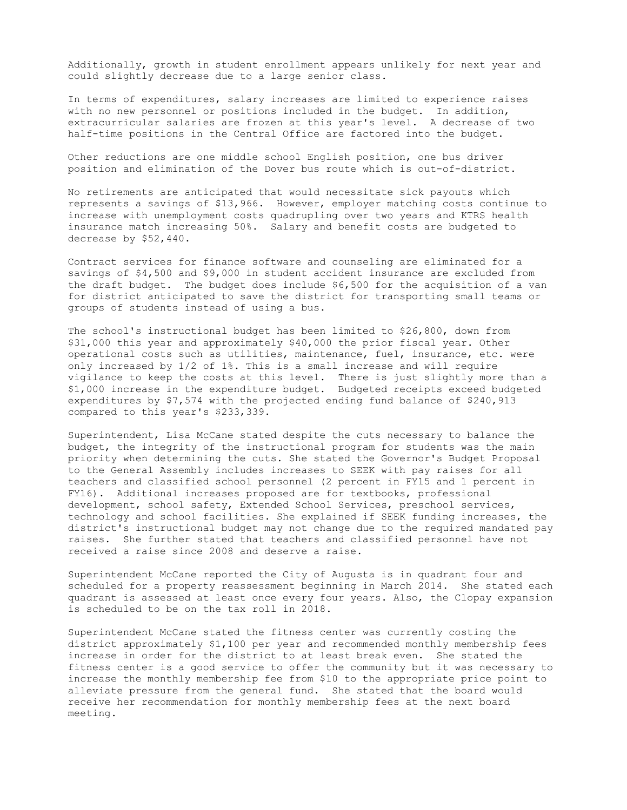Additionally, growth in student enrollment appears unlikely for next year and could slightly decrease due to a large senior class.

In terms of expenditures, salary increases are limited to experience raises with no new personnel or positions included in the budget. In addition, extracurricular salaries are frozen at this year's level. A decrease of two half-time positions in the Central Office are factored into the budget.

Other reductions are one middle school English position, one bus driver position and elimination of the Dover bus route which is out-of-district.

No retirements are anticipated that would necessitate sick payouts which represents a savings of \$13,966. However, employer matching costs continue to increase with unemployment costs quadrupling over two years and KTRS health insurance match increasing 50%. Salary and benefit costs are budgeted to decrease by \$52,440.

Contract services for finance software and counseling are eliminated for a savings of \$4,500 and \$9,000 in student accident insurance are excluded from the draft budget. The budget does include \$6,500 for the acquisition of a van for district anticipated to save the district for transporting small teams or groups of students instead of using a bus.

The school's instructional budget has been limited to \$26,800, down from \$31,000 this year and approximately \$40,000 the prior fiscal year. Other operational costs such as utilities, maintenance, fuel, insurance, etc. were only increased by 1/2 of 1%. This is a small increase and will require vigilance to keep the costs at this level. There is just slightly more than a \$1,000 increase in the expenditure budget. Budgeted receipts exceed budgeted expenditures by \$7,574 with the projected ending fund balance of \$240,913 compared to this year's \$233,339.

Superintendent, Lisa McCane stated despite the cuts necessary to balance the budget, the integrity of the instructional program for students was the main priority when determining the cuts. She stated the Governor's Budget Proposal to the General Assembly includes increases to SEEK with pay raises for all teachers and classified school personnel (2 percent in FY15 and 1 percent in FY16). Additional increases proposed are for textbooks, professional development, school safety, Extended School Services, preschool services, technology and school facilities. She explained if SEEK funding increases, the district's instructional budget may not change due to the required mandated pay raises. She further stated that teachers and classified personnel have not received a raise since 2008 and deserve a raise.

Superintendent McCane reported the City of Augusta is in quadrant four and scheduled for a property reassessment beginning in March 2014. She stated each quadrant is assessed at least once every four years. Also, the Clopay expansion is scheduled to be on the tax roll in 2018.

Superintendent McCane stated the fitness center was currently costing the district approximately \$1,100 per year and recommended monthly membership fees increase in order for the district to at least break even. She stated the fitness center is a good service to offer the community but it was necessary to increase the monthly membership fee from \$10 to the appropriate price point to alleviate pressure from the general fund. She stated that the board would receive her recommendation for monthly membership fees at the next board meeting.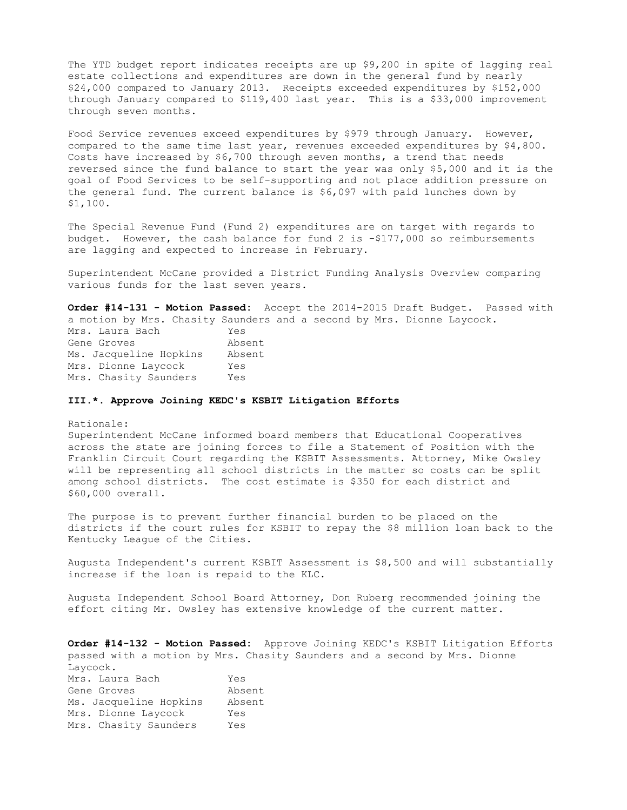The YTD budget report indicates receipts are up \$9,200 in spite of lagging real estate collections and expenditures are down in the general fund by nearly \$24,000 compared to January 2013. Receipts exceeded expenditures by \$152,000 through January compared to \$119,400 last year. This is a \$33,000 improvement through seven months.

Food Service revenues exceed expenditures by \$979 through January. However, compared to the same time last year, revenues exceeded expenditures by \$4,800. Costs have increased by \$6,700 through seven months, a trend that needs reversed since the fund balance to start the year was only \$5,000 and it is the goal of Food Services to be self-supporting and not place addition pressure on the general fund. The current balance is \$6,097 with paid lunches down by \$1,100.

The Special Revenue Fund (Fund 2) expenditures are on target with regards to budget. However, the cash balance for fund 2 is  $-\frac{2}{177}$ ,000 so reimbursements are lagging and expected to increase in February.

Superintendent McCane provided a District Funding Analysis Overview comparing various funds for the last seven years.

**Order #14-131 - Motion Passed:** Accept the 2014-2015 Draft Budget. Passed with a motion by Mrs. Chasity Saunders and a second by Mrs. Dionne Laycock. Mrs. Laura Bach Yes Gene Groves Absent Ms. Jacqueline Hopkins Absent Mrs. Dionne Laycock Yes Mrs. Chasity Saunders Yes

### **III.\*. Approve Joining KEDC's KSBIT Litigation Efforts**

Rationale:

Superintendent McCane informed board members that Educational Cooperatives across the state are joining forces to file a Statement of Position with the Franklin Circuit Court regarding the KSBIT Assessments. Attorney, Mike Owsley will be representing all school districts in the matter so costs can be split among school districts. The cost estimate is \$350 for each district and \$60,000 overall.

The purpose is to prevent further financial burden to be placed on the districts if the court rules for KSBIT to repay the \$8 million loan back to the Kentucky League of the Cities.

Augusta Independent's current KSBIT Assessment is \$8,500 and will substantially increase if the loan is repaid to the KLC.

Augusta Independent School Board Attorney, Don Ruberg recommended joining the effort citing Mr. Owsley has extensive knowledge of the current matter.

**Order #14-132 - Motion Passed:** Approve Joining KEDC's KSBIT Litigation Efforts passed with a motion by Mrs. Chasity Saunders and a second by Mrs. Dionne Laycock. Mrs. Laura Bach Yes Gene Groves Absent Ms. Jacqueline Hopkins Absent Mrs. Dionne Laycock Yes Mrs. Chasity Saunders Yes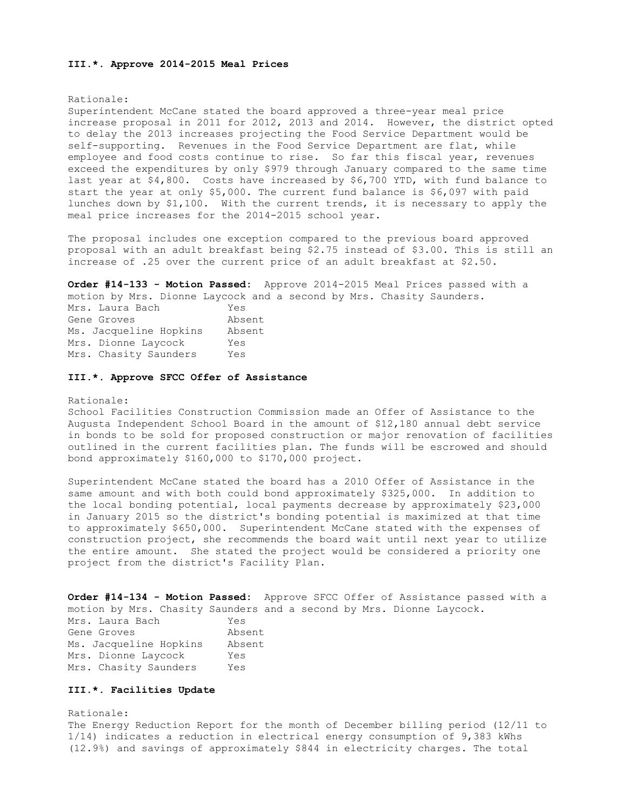#### **III.\*. Approve 2014-2015 Meal Prices**

### Rationale:

Superintendent McCane stated the board approved a three-year meal price increase proposal in 2011 for 2012, 2013 and 2014. However, the district opted to delay the 2013 increases projecting the Food Service Department would be self-supporting. Revenues in the Food Service Department are flat, while employee and food costs continue to rise. So far this fiscal year, revenues exceed the expenditures by only \$979 through January compared to the same time last year at \$4,800. Costs have increased by \$6,700 YTD, with fund balance to start the year at only \$5,000. The current fund balance is \$6,097 with paid lunches down by \$1,100. With the current trends, it is necessary to apply the meal price increases for the 2014-2015 school year.

The proposal includes one exception compared to the previous board approved proposal with an adult breakfast being \$2.75 instead of \$3.00. This is still an increase of .25 over the current price of an adult breakfast at \$2.50.

**Order #14-133 - Motion Passed:** Approve 2014-2015 Meal Prices passed with a motion by Mrs. Dionne Laycock and a second by Mrs. Chasity Saunders.

| Mrs. Laura Bach        | Yes    |
|------------------------|--------|
| Gene Groves            | Absent |
| Ms. Jacqueline Hopkins | Absent |
| Mrs. Dionne Laycock    | Yes    |
| Mrs. Chasity Saunders  | Yes    |

### **III.\*. Approve SFCC Offer of Assistance**

### Rationale:

School Facilities Construction Commission made an Offer of Assistance to the Augusta Independent School Board in the amount of \$12,180 annual debt service in bonds to be sold for proposed construction or major renovation of facilities outlined in the current facilities plan. The funds will be escrowed and should bond approximately \$160,000 to \$170,000 project.

Superintendent McCane stated the board has a 2010 Offer of Assistance in the same amount and with both could bond approximately \$325,000. In addition to the local bonding potential, local payments decrease by approximately \$23,000 in January 2015 so the district's bonding potential is maximized at that time to approximately \$650,000. Superintendent McCane stated with the expenses of construction project, she recommends the board wait until next year to utilize the entire amount. She stated the project would be considered a priority one project from the district's Facility Plan.

**Order #14-134 - Motion Passed:** Approve SFCC Offer of Assistance passed with a motion by Mrs. Chasity Saunders and a second by Mrs. Dionne Laycock. Mrs. Laura Bach Yes Gene Groves **Absent** Ms. Jacqueline Hopkins Absent Mrs. Dionne Laycock Yes Mrs. Chasity Saunders Yes

## **III.\*. Facilities Update**

Rationale: The Energy Reduction Report for the month of December billing period (12/11 to 1/14) indicates a reduction in electrical energy consumption of 9,383 kWhs (12.9%) and savings of approximately \$844 in electricity charges. The total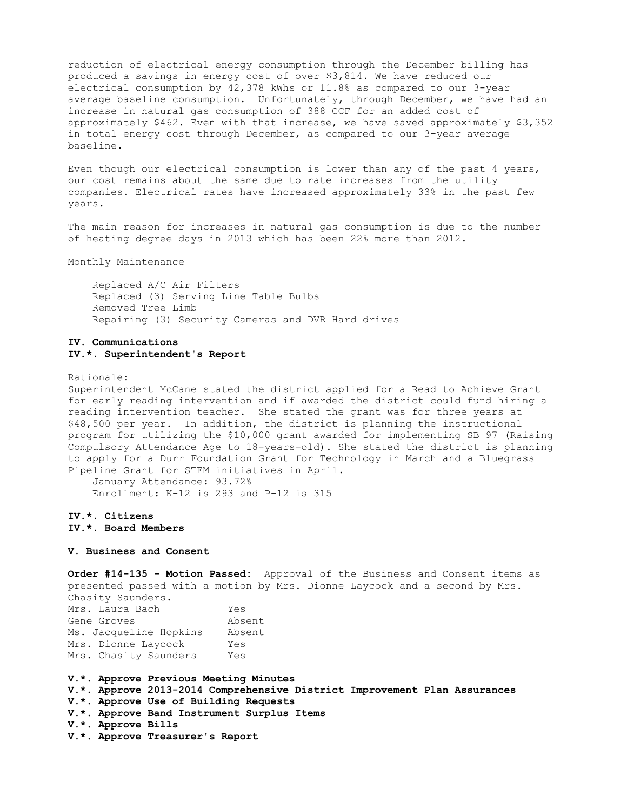reduction of electrical energy consumption through the December billing has produced a savings in energy cost of over \$3,814. We have reduced our electrical consumption by 42,378 kWhs or 11.8% as compared to our 3-year average baseline consumption. Unfortunately, through December, we have had an increase in natural gas consumption of 388 CCF for an added cost of approximately \$462. Even with that increase, we have saved approximately \$3,352 in total energy cost through December, as compared to our 3-year average baseline.

Even though our electrical consumption is lower than any of the past 4 years, our cost remains about the same due to rate increases from the utility companies. Electrical rates have increased approximately 33% in the past few years.

The main reason for increases in natural gas consumption is due to the number of heating degree days in 2013 which has been 22% more than 2012.

Monthly Maintenance

 Replaced A/C Air Filters Replaced (3) Serving Line Table Bulbs Removed Tree Limb Repairing (3) Security Cameras and DVR Hard drives

## **IV. Communications IV.\*. Superintendent's Report**

Rationale:

Superintendent McCane stated the district applied for a Read to Achieve Grant for early reading intervention and if awarded the district could fund hiring a reading intervention teacher. She stated the grant was for three years at \$48,500 per year. In addition, the district is planning the instructional program for utilizing the \$10,000 grant awarded for implementing SB 97 (Raising Compulsory Attendance Age to 18-years-old). She stated the district is planning to apply for a Durr Foundation Grant for Technology in March and a Bluegrass Pipeline Grant for STEM initiatives in April.

 January Attendance: 93.72% Enrollment: K-12 is 293 and P-12 is 315

# **IV.\*. Citizens IV.\*. Board Members**

## **V. Business and Consent**

**Order #14-135 - Motion Passed:** Approval of the Business and Consent items as presented passed with a motion by Mrs. Dionne Laycock and a second by Mrs. Chasity Saunders.

| Mrs. Laura Bach        | Yes    |
|------------------------|--------|
| Gene Groves            | Absent |
| Ms. Jacqueline Hopkins | Absent |
| Mrs. Dionne Laycock    | Yes    |
| Mrs. Chasity Saunders  | Yes    |

**V.\*. Approve Previous Meeting Minutes V.\*. Approve 2013-2014 Comprehensive District Improvement Plan Assurances V.\*. Approve Use of Building Requests V.\*. Approve Band Instrument Surplus Items V.\*. Approve Bills V.\*. Approve Treasurer's Report**